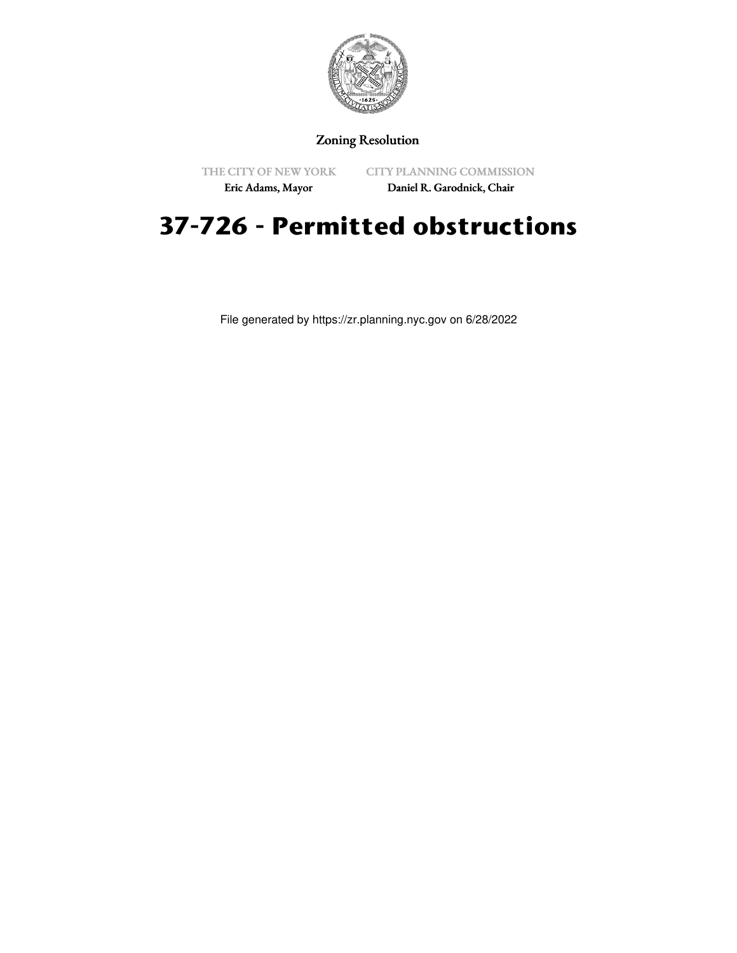

## Zoning Resolution

THE CITY OF NEW YORK

CITY PLANNING COMMISSION

Eric Adams, Mayor

Daniel R. Garodnick, Chair

## **37-726 - Permitted obstructions**

File generated by https://zr.planning.nyc.gov on 6/28/2022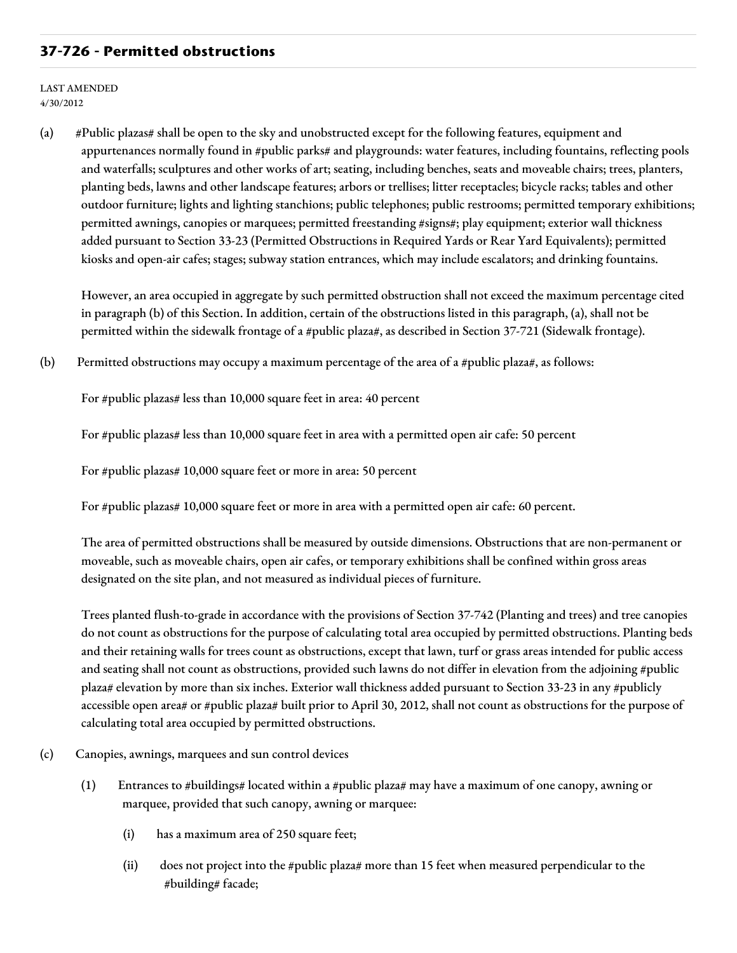## **37-726 - Permitted obstructions**

LAST AMENDED 4/30/2012

(a) #Public plazas# shall be open to the sky and unobstructed except for the following features, equipment and appurtenances normally found in #public parks# and playgrounds: water features, including fountains, reflecting pools and waterfalls; sculptures and other works of art; seating, including benches, seats and moveable chairs; trees, planters, planting beds, lawns and other landscape features; arbors or trellises; litter receptacles; bicycle racks; tables and other outdoor furniture; lights and lighting stanchions; public telephones; public restrooms; permitted temporary exhibitions; permitted awnings, canopies or marquees; permitted freestanding #signs#; play equipment; exterior wall thickness added pursuant to Section 33-23 (Permitted Obstructions in Required Yards or Rear Yard Equivalents); permitted kiosks and open-air cafes; stages; subway station entrances, which may include escalators; and drinking fountains.

However, an area occupied in aggregate by such permitted obstruction shall not exceed the maximum percentage cited in paragraph (b) of this Section. In addition, certain of the obstructions listed in this paragraph, (a), shall not be permitted within the sidewalk frontage of a #public plaza#, as described in Section 37-721 (Sidewalk frontage).

(b) Permitted obstructions may occupy a maximum percentage of the area of a #public plaza#, as follows:

For #public plazas# less than 10,000 square feet in area: 40 percent

For #public plazas# less than 10,000 square feet in area with a permitted open air cafe: 50 percent

For #public plazas# 10,000 square feet or more in area: 50 percent

For #public plazas# 10,000 square feet or more in area with a permitted open air cafe: 60 percent.

The area of permitted obstructions shall be measured by outside dimensions. Obstructions that are non-permanent or moveable, such as moveable chairs, open air cafes, or temporary exhibitions shall be confined within gross areas designated on the site plan, and not measured as individual pieces of furniture.

Trees planted flush-to-grade in accordance with the provisions of Section 37-742 (Planting and trees) and tree canopies do not count as obstructions for the purpose of calculating total area occupied by permitted obstructions. Planting beds and their retaining walls for trees count as obstructions, except that lawn, turf or grass areas intended for public access and seating shall not count as obstructions, provided such lawns do not differ in elevation from the adjoining #public plaza# elevation by more than six inches. Exterior wall thickness added pursuant to Section 33-23 in any #publicly accessible open area# or #public plaza# built prior to April 30, 2012, shall not count as obstructions for the purpose of calculating total area occupied by permitted obstructions.

- (c) Canopies, awnings, marquees and sun control devices
	- (1) Entrances to #buildings# located within a #public plaza# may have a maximum of one canopy, awning or marquee, provided that such canopy, awning or marquee:
		- (i) has a maximum area of 250 square feet;
		- (ii) does not project into the #public plaza# more than 15 feet when measured perpendicular to the #building# facade;